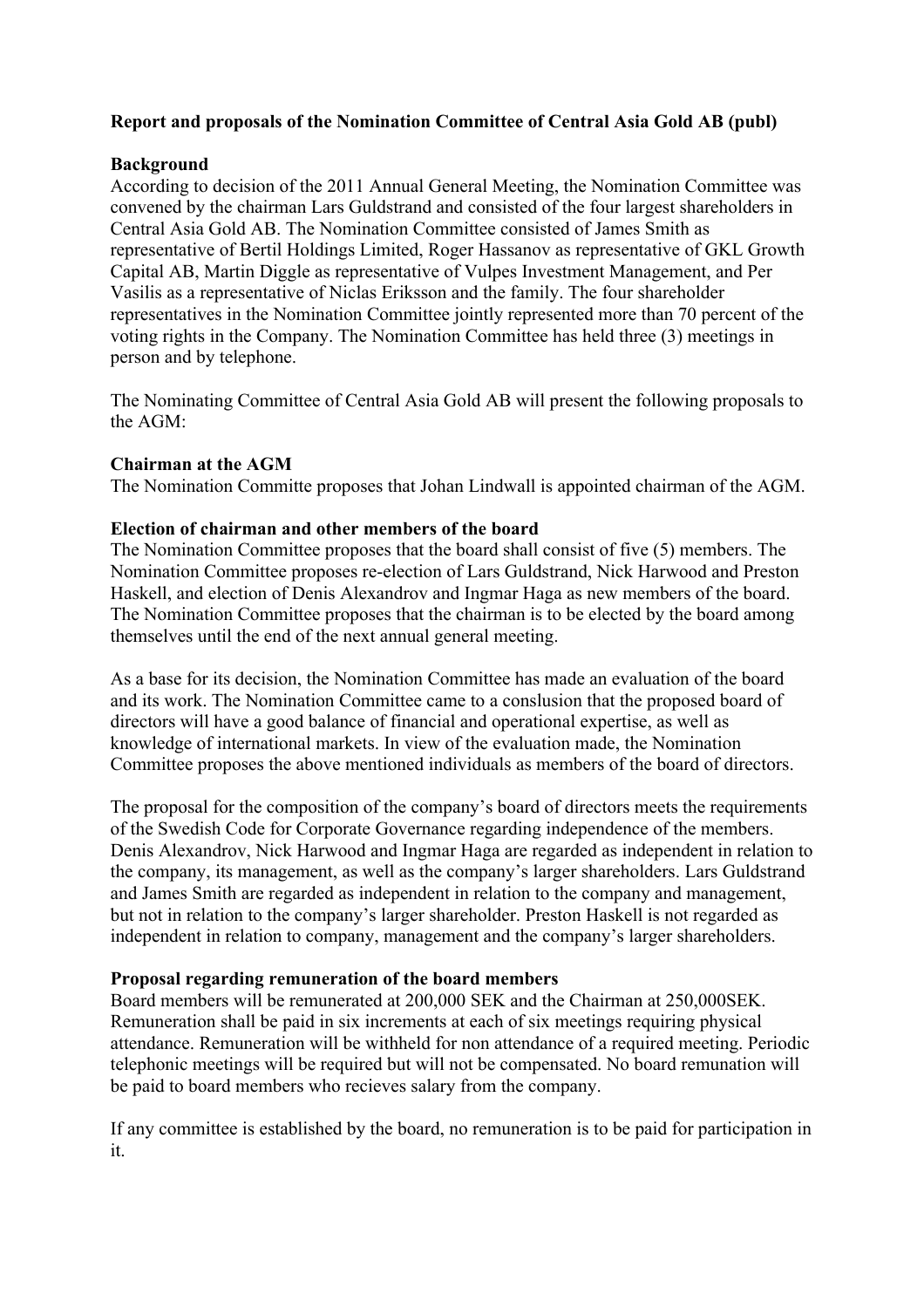## **Report and proposals of the Nomination Committee of Central Asia Gold AB (publ)**

# **Background**

According to decision of the 2011 Annual General Meeting, the Nomination Committee was convened by the chairman Lars Guldstrand and consisted of the four largest shareholders in Central Asia Gold AB. The Nomination Committee consisted of James Smith as representative of Bertil Holdings Limited, Roger Hassanov as representative of GKL Growth Capital AB, Martin Diggle as representative of Vulpes Investment Management, and Per Vasilis as a representative of Niclas Eriksson and the family. The four shareholder representatives in the Nomination Committee jointly represented more than 70 percent of the voting rights in the Company. The Nomination Committee has held three (3) meetings in person and by telephone.

The Nominating Committee of Central Asia Gold AB will present the following proposals to the AGM:

## **Chairman at the AGM**

The Nomination Committe proposes that Johan Lindwall is appointed chairman of the AGM.

## **Election of chairman and other members of the board**

The Nomination Committee proposes that the board shall consist of five (5) members. The Nomination Committee proposes re-election of Lars Guldstrand, Nick Harwood and Preston Haskell, and election of Denis Alexandrov and Ingmar Haga as new members of the board. The Nomination Committee proposes that the chairman is to be elected by the board among themselves until the end of the next annual general meeting.

As a base for its decision, the Nomination Committee has made an evaluation of the board and its work. The Nomination Committee came to a conslusion that the proposed board of directors will have a good balance of financial and operational expertise, as well as knowledge of international markets. In view of the evaluation made, the Nomination Committee proposes the above mentioned individuals as members of the board of directors.

The proposal for the composition of the company's board of directors meets the requirements of the Swedish Code for Corporate Governance regarding independence of the members. Denis Alexandrov, Nick Harwood and Ingmar Haga are regarded as independent in relation to the company, its management, as well as the company's larger shareholders. Lars Guldstrand and James Smith are regarded as independent in relation to the company and management, but not in relation to the company's larger shareholder. Preston Haskell is not regarded as independent in relation to company, management and the company's larger shareholders.

#### **Proposal regarding remuneration of the board members**

Board members will be remunerated at 200,000 SEK and the Chairman at 250,000SEK. Remuneration shall be paid in six increments at each of six meetings requiring physical attendance. Remuneration will be withheld for non attendance of a required meeting. Periodic telephonic meetings will be required but will not be compensated. No board remunation will be paid to board members who recieves salary from the company.

If any committee is established by the board, no remuneration is to be paid for participation in it.